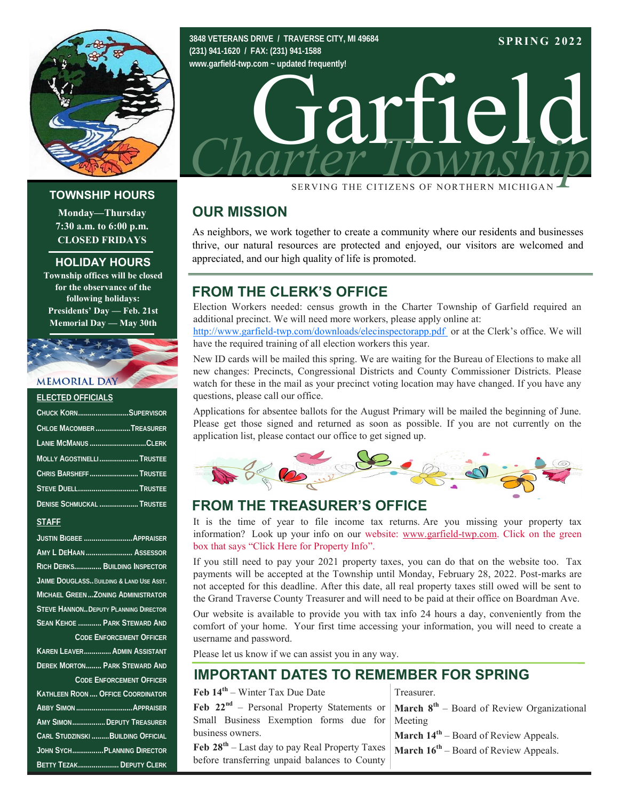

#### **TOWNSHIP HOURS**

Monday-Thursday 7:30 a.m. to 6:00 p.m. **CLOSED FRIDAYS** 

#### **HOLIDAY HOURS**

**Township offices will be closed** for the observance of the following holidays: Presidents' Day — Feb. 21st **Memorial Day — May 30th** 

# **MEMORIAL DAY**

#### **ELECTED OFFICIALS**

| CHUCK KORNSUPERVISOR      |  |
|---------------------------|--|
| CHLOE MACOMBERTREASURER   |  |
| LANIE MCMANUS CLERK       |  |
| MOLLY AGOSTINELLITRUSTEE  |  |
| CHRIS BARSHEFF  TRUSTEE   |  |
| STEVE DUELL TRUSTEE       |  |
| DENISE SCHMUCKAL  TRUSTEE |  |
|                           |  |

#### **STAFF**

| JUSTIN BIGBEE  APPRAISER                     |                                                                                                                                                                                                                                                                                                                               |  |
|----------------------------------------------|-------------------------------------------------------------------------------------------------------------------------------------------------------------------------------------------------------------------------------------------------------------------------------------------------------------------------------|--|
| AMY L DEHAAN  ASSESSOR                       |                                                                                                                                                                                                                                                                                                                               |  |
| RICH DERKS BUILDING INSPECTOR                |                                                                                                                                                                                                                                                                                                                               |  |
| JAIME DOUGLASS BUILDING & LAND USE ASST.     |                                                                                                                                                                                                                                                                                                                               |  |
| MICHAEL GREEN  ZONING ADMINISTRATOR          |                                                                                                                                                                                                                                                                                                                               |  |
| <b>STEVE HANNON DEPUTY PLANNING DIRECTOR</b> |                                                                                                                                                                                                                                                                                                                               |  |
|                                              | SEAN KEHOE  PARK STEWARD AND                                                                                                                                                                                                                                                                                                  |  |
| <b>CODE ENFORCEMENT OFFICER</b>              |                                                                                                                                                                                                                                                                                                                               |  |
|                                              | KAREN LEAVER ADMIN ASSISTANT                                                                                                                                                                                                                                                                                                  |  |
|                                              | <b>DEREK MORTON PARK STEWARD AND</b>                                                                                                                                                                                                                                                                                          |  |
| <b>CODE ENFORCEMENT OFFICER</b>              |                                                                                                                                                                                                                                                                                                                               |  |
| Kathleen Roon  Office Coordinator            |                                                                                                                                                                                                                                                                                                                               |  |
|                                              |                                                                                                                                                                                                                                                                                                                               |  |
| AMY SIMON DEPUTY TREASURER                   |                                                                                                                                                                                                                                                                                                                               |  |
| CARL STUDZINSKI  BUILDING OFFICIAL           |                                                                                                                                                                                                                                                                                                                               |  |
|                                              | JOHN SYCH PLANNING DIRECTOR                                                                                                                                                                                                                                                                                                   |  |
|                                              | $R$ FTTV $Tr 74V$ $\qquad$ $R$ $\qquad$ $R$ $\qquad$ $\qquad$ $R$ $\qquad$ $\qquad$ $\qquad$ $\qquad$ $\qquad$ $\qquad$ $\qquad$ $\qquad$ $\qquad$ $\qquad$ $\qquad$ $\qquad$ $\qquad$ $\qquad$ $\qquad$ $\qquad$ $\qquad$ $\qquad$ $\qquad$ $\qquad$ $\qquad$ $\qquad$ $\qquad$ $\qquad$ $\qquad$ $\qquad$ $\qquad$ $\qquad$ |  |



SERVING THE CITIZENS OF NORTHERN MICHIGAN

## **OUR MISSION**

As neighbors, we work together to create a community where our residents and businesses thrive, our natural resources are protected and enjoyed, our visitors are welcomed and appreciated, and our high quality of life is promoted.

## **FROM THE CLERK'S OFFICE**

3848 VETERANS DRIVE / TRAVERSE CITY, MI 49684

(231) 941-1620 / FAX: (231) 941-1588

Election Workers needed: census growth in the Charter Township of Garfield required an additional precinct. We will need more workers, please apply online at:

http://www.garfield-twp.com/downloads/elecinspectorapp.pdf or at the Clerk's office. We will have the required training of all election workers this year.

New ID cards will be mailed this spring. We are waiting for the Bureau of Elections to make all new changes: Precincts, Congressional Districts and County Commissioner Districts. Please watch for these in the mail as your precinct voting location may have changed. If you have any questions, please call our office.

Applications for absentee ballots for the August Primary will be mailed the beginning of June. Please get those signed and returned as soon as possible. If you are not currently on the application list, please contact our office to get signed up.



# **FROM THE TREASURER'S OFFICE**

It is the time of year to file income tax returns. Are you missing your property tax information? Look up your info on our website: www.garfield-twp.com. Click on the green box that says "Click Here for Property Info".

If you still need to pay your 2021 property taxes, you can do that on the website too. Tax payments will be accepted at the Township until Monday, February 28, 2022. Post-marks are not accepted for this deadline. After this date, all real property taxes still owed will be sent to the Grand Traverse County Treasurer and will need to be paid at their office on Boardman Ave.

Our website is available to provide you with tax info 24 hours a day, conveniently from the comfort of your home. Your first time accessing your information, you will need to create a username and password.

Please let us know if we can assist you in any way.

# **IMPORTANT DATES TO REMEMBER FOR SPRING**

Feb  $14^{th}$  – Winter Tax Due Date

Feb  $22^{nd}$  – Personal Property Statements or Small Business Exemption forms due for business owners.

Feb  $28^{th}$  – Last day to pay Real Property Taxes before transferring unpaid balances to County Treasurer

**March**  $8^{th}$  – Board of Review Organizational Meeting

**March**  $14^{th}$  – Board of Review Appeals. **March**  $16^{th}$  – Board of Review Appeals.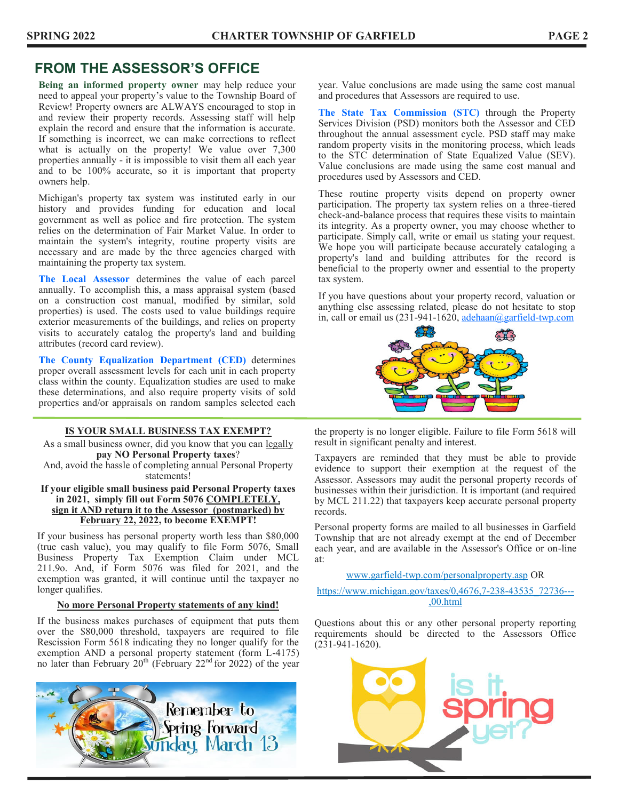# **FROM THE ASSESSOR'S OFFICE**

**Being an informed property owner** may help reduce your need to appeal your property's value to the Township Board of Review! Property owners are ALWAYS encouraged to stop in and review their property records. Assessing staff will help explain the record and ensure that the information is accurate. If something is incorrect, we can make corrections to reflect what is actually on the property! We value over 7,300 properties annually - it is impossible to visit them all each year and to be 100% accurate, so it is important that property owners help.

Michigan's property tax system was instituted early in our history and provides funding for education and local government as well as police and fire protection. The system relies on the determination of Fair Market Value. In order to maintain the system's integrity, routine property visits are necessary and are made by the three agencies charged with maintaining the property tax system.

**The Local Assessor** determines the value of each parcel annually. To accomplish this, a mass appraisal system (based on a construction cost manual, modified by similar, sold properties) is used. The costs used to value buildings require exterior measurements of the buildings, and relies on property visits to accurately catalog the property's land and building attributes (record card review).

**The County Equalization Department (CED)** determines proper overall assessment levels for each unit in each property class within the county. Equalization studies are used to make these determinations, and also require property visits of sold properties and/or appraisals on random samples selected each

#### **IS YOUR SMALL BUSINESS TAX EXEMPT?**

As a small business owner, did you know that you can legally **pay NO Personal Property taxes**?

And, avoid the hassle of completing annual Personal Property statements!

#### **If your eligible small business paid Personal Property taxes in 2021, simply fill out Form 5076 COMPLETELY, sign it AND return it to the Assessor (postmarked) by February 22, 2022, to become EXEMPT!**

If your business has personal property worth less than \$80,000 (true cash value), you may qualify to file Form 5076, Small Business Property Tax Exemption Claim under MCL 211.9o. And, if Form 5076 was filed for 2021, and the exemption was granted, it will continue until the taxpayer no longer qualifies.

#### **No more Personal Property statements of any kind!**

If the business makes purchases of equipment that puts them over the \$80,000 threshold, taxpayers are required to file Rescission Form 5618 indicating they no longer qualify for the exemption AND a personal property statement (form L-4175) no later than February  $20^{th}$  (February  $22^{nd}$  for 2022) of the year



year. Value conclusions are made using the same cost manual and procedures that Assessors are required to use.

**The State Tax Commission (STC)** through the Property Services Division (PSD) monitors both the Assessor and CED throughout the annual assessment cycle. PSD staff may make random property visits in the monitoring process, which leads to the STC determination of State Equalized Value (SEV). Value conclusions are made using the same cost manual and procedures used by Assessors and CED.

These routine property visits depend on property owner participation. The property tax system relies on a three-tiered check-and-balance process that requires these visits to maintain its integrity. As a property owner, you may choose whether to participate. Simply call, write or email us stating your request. We hope you will participate because accurately cataloging a property's land and building attributes for the record is beneficial to the property owner and essential to the property tax system.

If you have questions about your property record, valuation or anything else assessing related, please do not hesitate to stop in, call or email us  $(231-941-1620, \frac{adehaan(0)garfield-two.com}{adehaan(0)garfield-two.com})$ 



the property is no longer eligible. Failure to file Form 5618 will result in significant penalty and interest.

Taxpayers are reminded that they must be able to provide evidence to support their exemption at the request of the Assessor. Assessors may audit the personal property records of businesses within their jurisdiction. It is important (and required by MCL 211.22) that taxpayers keep accurate personal property records.

Personal property forms are mailed to all businesses in Garfield Township that are not already exempt at the end of December each year, and are available in the Assessor's Office or on-line at:

www.garfield-twp.com/personalproperty.asp OR

https://www.michigan.gov/taxes/0,4676,7-238-43535\_72736--- ,00.html

Questions about this or any other personal property reporting requirements should be directed to the Assessors Office (231-941-1620).

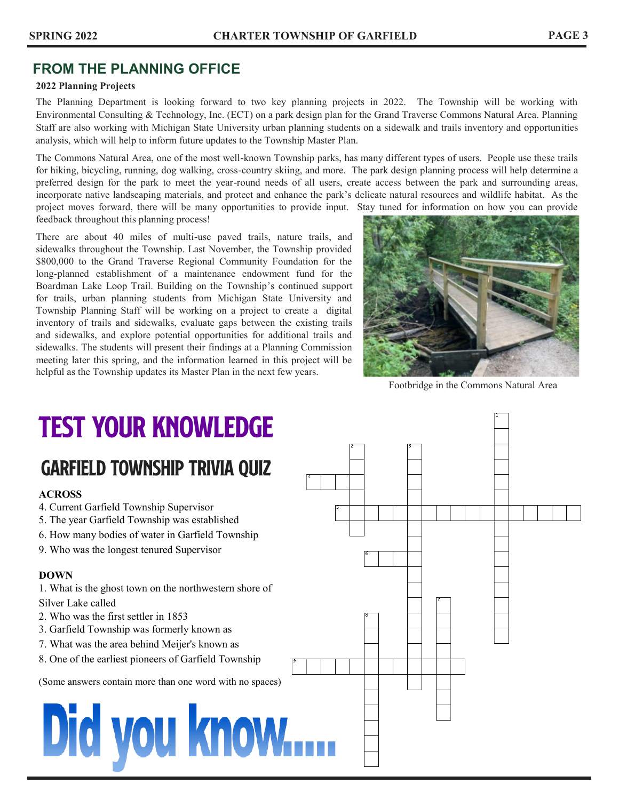# **FROM THE PLANNING OFFICE**

#### **2022 Planning Projects**

The Planning Department is looking forward to two key planning projects in 2022. The Township will be working with Environmental Consulting & Technology, Inc. (ECT) on a park design plan for the Grand Traverse Commons Natural Area. Planning Staff are also working with Michigan State University urban planning students on a sidewalk and trails inventory and opportunities analysis, which will help to inform future updates to the Township Master Plan.

The Commons Natural Area, one of the most well-known Township parks, has many different types of users. People use these trails for hiking, bicycling, running, dog walking, cross-country skiing, and more. The park design planning process will help determine a preferred design for the park to meet the year-round needs of all users, create access between the park and surrounding areas, incorporate native landscaping materials, and protect and enhance the park's delicate natural resources and wildlife habitat. As the project moves forward, there will be many opportunities to provide input. Stay tuned for information on how you can provide feedback throughout this planning process!

There are about 40 miles of multi-use paved trails, nature trails, and sidewalks throughout the Township. Last November, the Township provided \$800,000 to the Grand Traverse Regional Community Foundation for the long-planned establishment of a maintenance endowment fund for the Boardman Lake Loop Trail. Building on the Township's continued support for trails, urban planning students from Michigan State University and Township Planning Staff will be working on a project to create a digital inventory of trails and sidewalks, evaluate gaps between the existing trails and sidewalks, and explore potential opportunities for additional trails and sidewalks. The students will present their findings at a Planning Commission meeting later this spring, and the information learned in this project will be helpful as the Township updates its Master Plan in the next few years.



Footbridge in the Commons Natural Area

# **TEST YOUR KNOWLEDGE**

# **GARFIELD TOWNSHIP TRIVIA QUIZ**

#### **ACROSS**

- 4. Current Garfield Township Supervisor
- 5. The year Garfield Township was established
- 6. How many bodies of water in Garfield Township
- 9. Who was the longest tenured Supervisor

#### **DOWN**

- 1. What is the ghost town on the northwestern shore of Silver Lake called
- 2. Who was the first settler in 1853
- 3. Garfield Township was formerly known as
- 7. What was the area behind Meijer's known as
- 8. One of the earliest pioneers of Garfield Township

(Some answers contain more than one word with no spaces)

# Did you know....